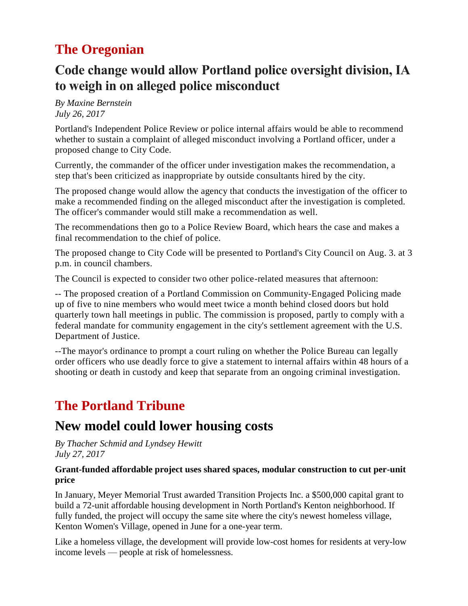# **The Oregonian**

## **Code change would allow Portland police oversight division, IA to weigh in on alleged police misconduct**

*By Maxine Bernstein July 26, 2017*

Portland's Independent Police Review or police internal affairs would be able to recommend whether to sustain a complaint of alleged misconduct involving a Portland officer, under a proposed change to City Code.

Currently, the commander of the officer under investigation makes the recommendation, a step that's been criticized as inappropriate by outside consultants hired by the city.

The proposed change would allow the agency that conducts the investigation of the officer to make a recommended finding on the alleged misconduct after the investigation is completed. The officer's commander would still make a recommendation as well.

The recommendations then go to a Police Review Board, which hears the case and makes a final recommendation to the chief of police.

The [proposed](http://media.oregonlive.com/portland_impact/other/IPR%20Code%20Change%20Press%20Release%20&%20Council%20Materials.pdf) change to City Code will be presented to Portland's City Council on Aug. 3. at 3 p.m. in council chambers.

The Council is expected to consider two other police-related measures that afternoon:

-- The proposed creation of a Portland Commission on [Community-Engaged](http://www.oregonlive.com/portland/index.ssf/2017/07/portland_planning_new_commissi.html) Policing made up of five to nine members who would meet twice a month behind closed doors but hold quarterly town hall meetings in public. The commission is proposed, partly to comply with a federal mandate for community engagement in the city's settlement agreement with the U.S. Department of Justice.

--The mayor's [ordinance](http://www.oregonlive.com/portland/index.ssf/2017/07/mayor_wheeler_presses_for_cour.html) to prompt a court ruling on whether the Police Bureau can legally order [officers](http://www.oregonlive.com/portland/index.ssf/2017/07/mayor_wheeler_presses_for_cour.html) who use deadly force to give a statement to internal affairs within 48 hours of a shooting or death in custody and keep that separate from an ongoing criminal investigation.

# **The Portland Tribune**

## **New model could lower housing costs**

*By Thacher Schmid and Lyndsey Hewitt July 27, 2017*

#### **Grant-funded affordable project uses shared spaces, modular construction to cut per-unit pric[e](http://cni.pmgnews.com/images/artimg/00003583827734.jpg)**

In January, Meyer Memorial Trust awarded Transition Projects Inc. a \$500,000 capital grant to build a 72-unit affordable housing development in North Portland's Kenton neighborhood. If fully funded, the project will occupy the same site where the city's newest homeless village, Kenton Women's Village, opened in June for a one-year term.

Like a homeless village, the development will provide low-cost homes for residents at very-low income levels — people at risk of homelessness.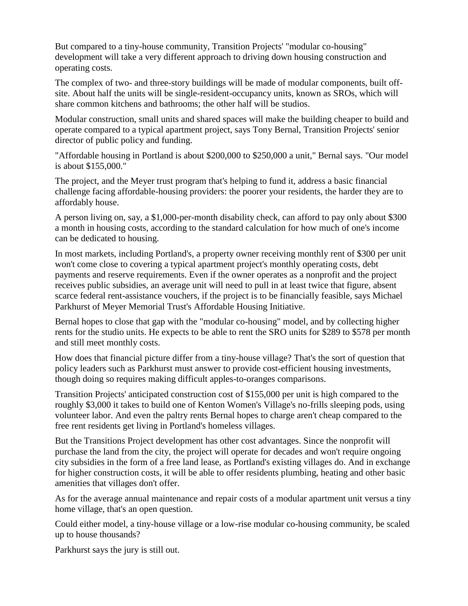But compared to a tiny-house community, Transition Projects' "modular co-housing" development will take a very different approach to driving down housing construction and operating costs.

The complex of two- and three-story buildings will be made of modular components, built offsite. About half the units will be single-resident-occupancy units, known as SROs, which will share common kitchens and bathrooms; the other half will be studios.

Modular construction, small units and shared spaces will make the building cheaper to build and operate compared to a typical apartment project, says Tony Bernal, Transition Projects' senior director of public policy and funding.

"Affordable housing in Portland is about \$200,000 to \$250,000 a unit," Bernal says. "Our model is about \$155,000."

The project, and the Meyer trust program that's helping to fund it, address a basic financial challenge facing affordable-housing providers: the poorer your residents, the harder they are to affordably house.

A person living on, say, a \$1,000-per-month disability check, can afford to pay only about \$300 a month in housing costs, according to the standard calculation for how much of one's income can be dedicated to housing.

In most markets, including Portland's, a property owner receiving monthly rent of \$300 per unit won't come close to covering a typical apartment project's monthly operating costs, debt payments and reserve requirements. Even if the owner operates as a nonprofit and the project receives public subsidies, an average unit will need to pull in at least twice that figure, absent scarce federal rent-assistance vouchers, if the project is to be financially feasible, says Michael Parkhurst of Meyer Memorial Trust's Affordable Housing Initiative.

Bernal hopes to close that gap with the "modular co-housing" model, and by collecting higher rents for the studio units. He expects to be able to rent the SRO units for \$289 to \$578 per month and still meet monthly costs.

How does that financial picture differ from a tiny-house village? That's the sort of question that policy leaders such as Parkhurst must answer to provide cost-efficient housing investments, though doing so requires making difficult apples-to-oranges comparisons.

Transition Projects' anticipated construction cost of \$155,000 per unit is high compared to the roughly \$3,000 it takes to build one of Kenton Women's Village's no-frills sleeping pods, using volunteer labor. And even the paltry rents Bernal hopes to charge aren't cheap compared to the free rent residents get living in Portland's homeless villages.

But the Transitions Project development has other cost advantages. Since the nonprofit will purchase the land from the city, the project will operate for decades and won't require ongoing city subsidies in the form of a free land lease, as Portland's existing villages do. And in exchange for higher construction costs, it will be able to offer residents plumbing, heating and other basic amenities that villages don't offer.

As for the average annual maintenance and repair costs of a modular apartment unit versus a tiny home village, that's an open question.

Could either model, a tiny-house village or a low-rise modular co-housing community, be scaled up to house thousands?

Parkhurst says the jury is still out.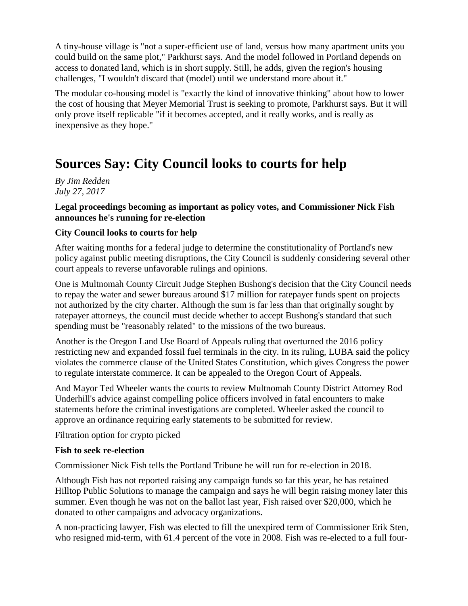A tiny-house village is "not a super-efficient use of land, versus how many apartment units you could build on the same plot," Parkhurst says. And the model followed in Portland depends on access to donated land, which is in short supply. Still, he adds, given the region's housing challenges, "I wouldn't discard that (model) until we understand more about it."

The modular co-housing model is "exactly the kind of innovative thinking" about how to lower the cost of housing that Meyer Memorial Trust is seeking to promote, Parkhurst says. But it will only prove itself replicable "if it becomes accepted, and it really works, and is really as inexpensive as they hope."

# **Sources Say: City Council looks to courts for help**

#### *By Jim Redden July 27, 2017*

#### **Legal proceedings becoming as important as policy votes, and Commissioner Nick Fish announces he's running for re-election**

#### **City Council looks to courts for help**

After waiting months for a federal judge to determine the constitutionality of Portland's new policy against public meeting disruptions, the City Council is suddenly considering several other court appeals to reverse unfavorable rulings and opinions.

One is Multnomah County Circuit Judge Stephen Bushong's decision that the City Council needs to repay the water and sewer bureaus around \$17 million for ratepayer funds spent on projects not authorized by the city charter. Although the sum is far less than that originally sought by ratepayer attorneys, the council must decide whether to accept Bushong's standard that such spending must be "reasonably related" to the missions of the two bureaus.

Another is the Oregon Land Use Board of Appeals ruling that overturned the 2016 policy restricting new and expanded fossil fuel terminals in the city. In its ruling, LUBA said the policy violates the commerce clause of the United States Constitution, which gives Congress the power to regulate interstate commerce. It can be appealed to the Oregon Court of Appeals.

And Mayor Ted Wheeler wants the courts to review Multnomah County District Attorney Rod Underhill's advice against compelling police officers involved in fatal encounters to make statements before the criminal investigations are completed. Wheeler asked the council to approve an ordinance requiring early statements to be submitted for review.

Filtration option for crypto picked

#### **Fish to seek re-election**

Commissioner Nick Fish tells the Portland Tribune he will run for re-election in 2018.

Although Fish has not reported raising any campaign funds so far this year, he has retained Hilltop Public Solutions to manage the campaign and says he will begin raising money later this summer. Even though he was not on the ballot last year, Fish raised over \$20,000, which he donated to other campaigns and advocacy organizations.

A non-practicing lawyer, Fish was elected to fill the unexpired term of Commissioner Erik Sten, who resigned mid-term, with 61.4 percent of the vote in 2008. Fish was re-elected to a full four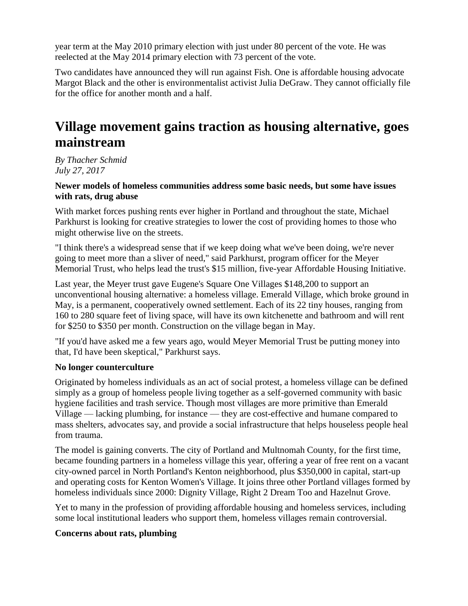year term at the May 2010 primary election with just under 80 percent of the vote. He was reelected at the May 2014 primary election with 73 percent of the vote.

Two candidates have announced they will run against Fish. One is affordable housing advocate Margot Black and the other is environmentalist activist Julia DeGraw. They cannot officially file for the office for another month and a half.

# **Village movement gains traction as housing alternative, goes mainstream**

*By Thacher Schmid July 27, 2017*

#### **Newer models of homeless communities address some basic needs, but some have issues with rats, drug abus[e](http://cni.pmgnews.com/images/artimg/00003583839712.jpg)**

With market forces pushing rents ever higher in Portland and throughout the state, Michael Parkhurst is looking for creative strategies to lower the cost of providing homes to those who might otherwise live on the streets.

"I think there's a widespread sense that if we keep doing what we've been doing, we're never going to meet more than a sliver of need," said Parkhurst, program officer for the Meyer Memorial Trust, who helps lead the trust's \$15 million, five-year Affordable Housing Initiative.

Last year, the Meyer trust gave Eugene's Square One Villages \$148,200 to support an unconventional housing alternative: a homeless village. Emerald Village, which broke ground in May, is a permanent, cooperatively owned settlement. Each of its 22 tiny houses, ranging from 160 to 280 square feet of living space, will have its own kitchenette and bathroom and will rent for \$250 to \$350 per month. Construction on the village began in May.

"If you'd have asked me a few years ago, would Meyer Memorial Trust be putting money into that, I'd have been skeptical," Parkhurst says.

#### **No longer counterculture**

Originated by homeless individuals as an act of social protest, a homeless village can be defined simply as a group of homeless people living together as a self-governed community with basic hygiene facilities and trash service. Though most villages are more primitive than Emerald Village — lacking plumbing, for instance — they are cost-effective and humane compared to mass shelters, advocates say, and provide a social infrastructure that helps houseless people heal from trauma.

The model is gaining converts. The city of Portland and Multnomah County, for the first time, became founding partners in a homeless village this year, offering a year of free rent on a vacant city-owned parcel in North Portland's Kenton neighborhood, plus \$350,000 in capital, start-up and operating costs for Kenton Women's Village. It joins three other Portland villages formed by homeless individuals since 2000: Dignity Village, Right 2 Dream Too and Hazelnut Grove.

Yet to many in the profession of providing affordable housing and homeless services, including some local institutional leaders who support them, homeless villages remain controversial.

#### **Concerns about rats, plumbing**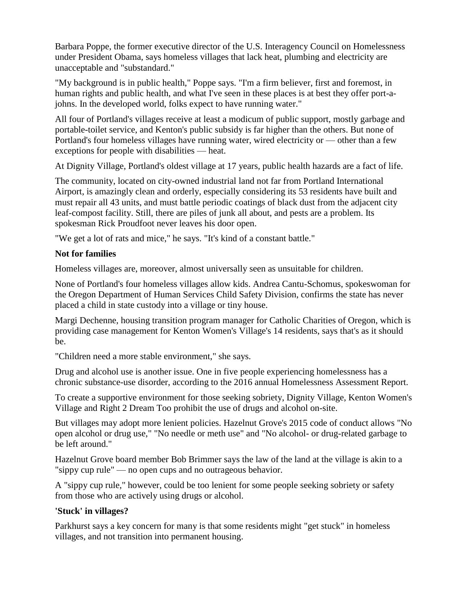Barbara Poppe, the former executive director of the U.S. Interagency Council on Homelessness under President Obama, says homeless villages that lack heat, plumbing and electricity are unacceptable and "substandard."

"My background is in public health," Poppe says. "I'm a firm believer, first and foremost, in human rights and public health, and what I've seen in these places is at best they offer port-ajohns. In the developed world, folks expect to have running water."

All four of Portland's villages receive at least a modicum of public support, mostly garbage and portable-toilet service, and Kenton's public subsidy is far higher than the others. But none of Portland's four homeless villages have running water, wired electricity or — other than a few exceptions for people with disabilities — heat.

At Dignity Village, Portland's oldest village at 17 years, public health hazards are a fact of life.

The community, located on city-owned industrial land not far from Portland International Airport, is amazingly clean and orderly, especially considering its 53 residents have built and must repair all 43 units, and must battle periodic coatings of black dust from the adjacent city leaf-compost facility. Still, there are piles of junk all about, and pests are a problem. Its spokesman Rick Proudfoot never leaves his door open.

"We get a lot of rats and mice," he says. "It's kind of a constant battle."

#### **Not for families**

Homeless villages are, moreover, almost universally seen as unsuitable for children.

None of Portland's four homeless villages allow kids. Andrea Cantu-Schomus, spokeswoman for the Oregon Department of Human Services Child Safety Division, confirms the state has never placed a child in state custody into a village or tiny house.

Margi Dechenne, housing transition program manager for Catholic Charities of Oregon, which is providing case management for Kenton Women's Village's 14 residents, says that's as it should be.

"Children need a more stable environment," she says.

Drug and alcohol use is another issue. One in five people experiencing homelessness has a chronic substance-use disorder, according to the 2016 annual Homelessness Assessment Report.

To create a supportive environment for those seeking sobriety, Dignity Village, Kenton Women's Village and Right 2 Dream Too prohibit the use of drugs and alcohol on-site.

But villages may adopt more lenient policies. Hazelnut Grove's 2015 code of conduct allows "No open alcohol or drug use," "No needle or meth use" and "No alcohol- or drug-related garbage to be left around."

Hazelnut Grove board member Bob Brimmer says the law of the land at the village is akin to a "sippy cup rule" — no open cups and no outrageous behavior.

A "sippy cup rule," however, could be too lenient for some people seeking sobriety or safety from those who are actively using drugs or alcohol.

#### **'Stuck' in villages?**

Parkhurst says a key concern for many is that some residents might "get stuck" in homeless villages, and not transition into permanent housing.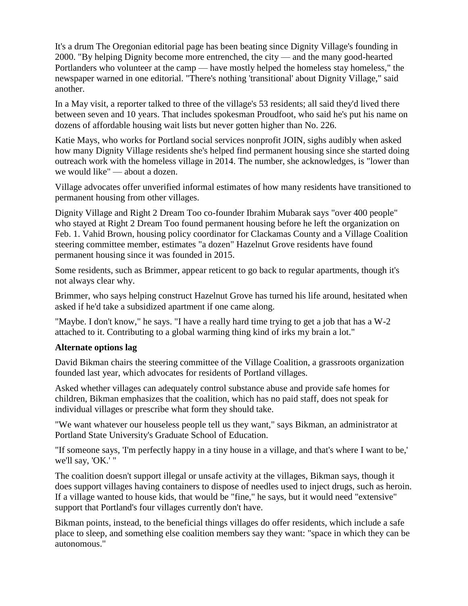It's a drum The Oregonian editorial page has been beating since Dignity Village's founding in 2000. "By helping Dignity become more entrenched, the city — and the many good-hearted Portlanders who volunteer at the camp — have mostly helped the homeless stay homeless," the newspaper warned in one editorial. "There's nothing 'transitional' about Dignity Village," said another.

In a May visit, a reporter talked to three of the village's 53 residents; all said they'd lived there between seven and 10 years. That includes spokesman Proudfoot, who said he's put his name on dozens of affordable housing wait lists but never gotten higher than No. 226.

Katie Mays, who works for Portland social services nonprofit JOIN, sighs audibly when asked how many Dignity Village residents she's helped find permanent housing since she started doing outreach work with the homeless village in 2014. The number, she acknowledges, is "lower than we would like" — about a dozen.

Village advocates offer unverified informal estimates of how many residents have transitioned to permanent housing from other villages.

Dignity Village and Right 2 Dream Too co-founder Ibrahim Mubarak says "over 400 people" who stayed at Right 2 Dream Too found permanent housing before he left the organization on Feb. 1. Vahid Brown, housing policy coordinator for Clackamas County and a Village Coalition steering committee member, estimates "a dozen" Hazelnut Grove residents have found permanent housing since it was founded in 2015.

Some residents, such as Brimmer, appear reticent to go back to regular apartments, though it's not always clear why.

Brimmer, who says helping construct Hazelnut Grove has turned his life around, hesitated when asked if he'd take a subsidized apartment if one came along.

"Maybe. I don't know," he says. "I have a really hard time trying to get a job that has a W-2 attached to it. Contributing to a global warming thing kind of irks my brain a lot.["](http://cni.pmgnews.com/images/artimg/00003583839743.jpg)

#### **Alternate options lag**

David Bikman chairs the steering committee of the Village Coalition, a grassroots organization founded last year, which advocates for residents of Portland villages.

Asked whether villages can adequately control substance abuse and provide safe homes for children, Bikman emphasizes that the coalition, which has no paid staff, does not speak for individual villages or prescribe what form they should take.

"We want whatever our houseless people tell us they want," says Bikman, an administrator at Portland State University's Graduate School of Education.

"If someone says, 'I'm perfectly happy in a tiny house in a village, and that's where I want to be,' we'll say, 'OK.' "

The coalition doesn't support illegal or unsafe activity at the villages, Bikman says, though it does support villages having containers to dispose of needles used to inject drugs, such as heroin. If a village wanted to house kids, that would be "fine," he says, but it would need "extensive" support that Portland's four villages currently don't have.

Bikman points, instead, to the beneficial things villages do offer residents, which include a safe place to sleep, and something else coalition members say they want: "space in which they can be autonomous."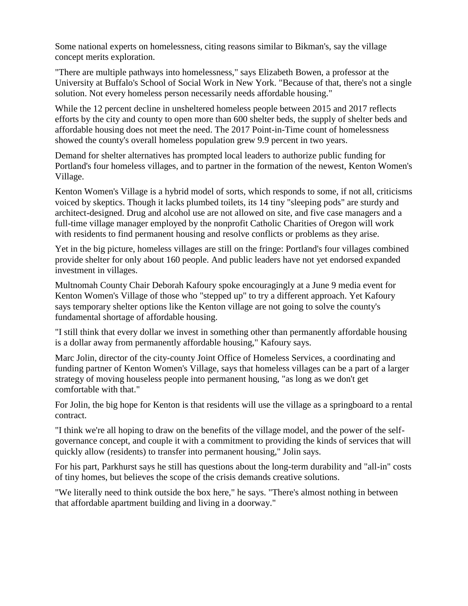Some national experts on homelessness, citing reasons similar to Bikman's, say the village concept merits exploration.

"There are multiple pathways into homelessness," says Elizabeth Bowen, a professor at the University at Buffalo's School of Social Work in New York. "Because of that, there's not a single solution. Not every homeless person necessarily needs affordable housing."

While the 12 percent decline in unsheltered homeless people between 2015 and 2017 reflects efforts by the city and county to open more than 600 shelter beds, the supply of shelter beds and affordable housing does not meet the need. The 2017 Point-in-Time count of homelessness showed the county's overall homeless population grew 9.9 percent in two years.

Demand for shelter alternatives has prompted local leaders to authorize public funding for Portland's four homeless villages, and to partner in the formation of the newest, Kenton Women's Village.

Kenton Women's Village is a hybrid model of sorts, which responds to some, if not all, criticisms voiced by skeptics. Though it lacks plumbed toilets, its 14 tiny "sleeping pods" are sturdy and architect-designed. Drug and alcohol use are not allowed on site, and five case managers and a full-time village manager employed by the nonprofit Catholic Charities of Oregon will work with residents to find permanent housing and resolve conflicts or problems as they arise.

Yet in the big picture, homeless villages are still on the fringe: Portland's four villages combined provide shelter for only about 160 people. And public leaders have not yet endorsed expanded investment in villages.

Multnomah County Chair Deborah Kafoury spoke encouragingly at a June 9 media event for Kenton Women's Village of those who "stepped up" to try a different approach. Yet Kafoury says temporary shelter options like the Kenton village are not going to solve the county's fundamental shortage of affordable housing.

"I still think that every dollar we invest in something other than permanently affordable housing is a dollar away from permanently affordable housing," Kafoury says.

Marc Jolin, director of the city-county Joint Office of Homeless Services, a coordinating and funding partner of Kenton Women's Village, says that homeless villages can be a part of a larger strategy of moving houseless people into permanent housing, "as long as we don't get comfortable with that."

For Jolin, the big hope for Kenton is that residents will use the village as a springboard to a rental contract.

"I think we're all hoping to draw on the benefits of the village model, and the power of the selfgovernance concept, and couple it with a commitment to providing the kinds of services that will quickly allow (residents) to transfer into permanent housing," Jolin says.

For his part, Parkhurst says he still has questions about the long-term durability and "all-in" costs of tiny homes, but believes the scope of the crisis demands creative solutions.

"We literally need to think outside the box here," he says. "There's almost nothing in between that affordable apartment building and living in a doorway."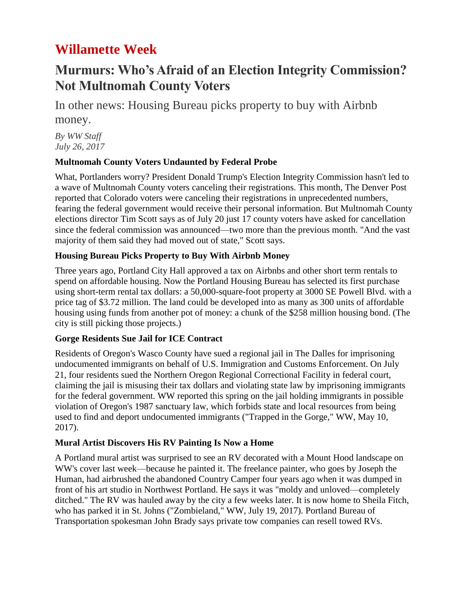# **Willamette Week**

## **Murmurs: Who's Afraid of an Election Integrity Commission? Not Multnomah County Voters**

In other news: Housing Bureau picks property to buy with Airbnb money.

*By WW Staff July 26, 2017*

### **Multnomah County Voters Undaunted by Federal Probe**

What, Portlanders worry? President Donald Trump's Election Integrity Commission hasn't led to a wave of Multnomah County voters canceling their registrations. This month, The Denver Post reported that Colorado voters were canceling their registrations in unprecedented numbers, fearing the federal government would receive their personal information. But Multnomah County elections director Tim Scott says as of July 20 just 17 county voters have asked for cancellation since the federal commission was announced—two more than the previous month. "And the vast majority of them said they had moved out of state," Scott says.

### **Housing Bureau Picks Property to Buy With Airbnb Money**

Three years ago, Portland City Hall approved a tax on Airbnbs and other short term rentals to spend on affordable housing. Now the Portland Housing Bureau has selected its first purchase using short-term rental tax dollars: a 50,000-square-foot property at 3000 SE Powell Blvd. with a price tag of \$3.72 million. The land could be developed into as many as 300 units of affordable housing using funds from another pot of money: a chunk of the \$258 million housing bond. (The city is still picking those projects.)

### **Gorge Residents Sue Jail for ICE Contract**

Residents of Oregon's Wasco County have sued a regional jail in The Dalles for imprisoning undocumented immigrants on behalf of U.S. Immigration and Customs Enforcement. On July 21, four residents sued the Northern Oregon Regional Correctional Facility in federal court, claiming the jail is misusing their tax dollars and violating state law by imprisoning immigrants for the federal government. WW reported this spring on the jail holding immigrants in possible violation of Oregon's 1987 sanctuary law, which forbids state and local resources from being used to find and deport undocumented immigrants ("Trapped in the Gorge," WW, May 10, 2017).

### **Mural Artist Discovers His RV Painting Is Now a Home**

A Portland mural artist was surprised to see an RV decorated with a Mount Hood landscape on WW's cover last week—because he painted it. The freelance painter, who goes by Joseph the Human, had airbrushed the abandoned Country Camper four years ago when it was dumped in front of his art studio in Northwest Portland. He says it was "moldy and unloved—completely ditched." The RV was hauled away by the city a few weeks later. It is now home to Sheila Fitch, who has parked it in St. Johns ("Zombieland," WW, July 19, 2017). Portland Bureau of Transportation spokesman John Brady says private tow companies can resell towed RVs.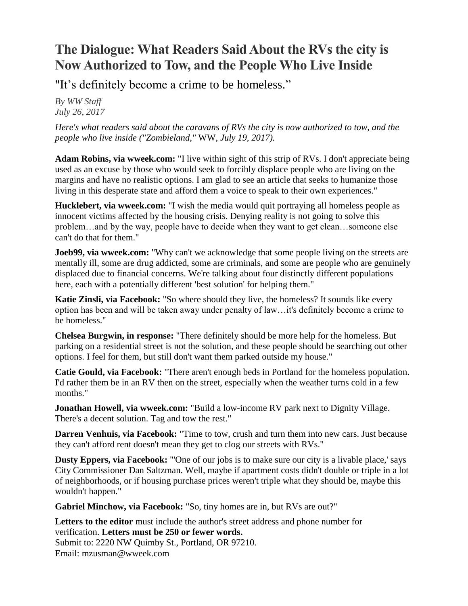# **The Dialogue: What Readers Said About the RVs the city is Now Authorized to Tow, and the People Who Live Inside**

"It's definitely become a crime to be homeless."

*By WW Staff July 26, 2017*

*Here's what readers said about the caravans of RVs the city is now authorized to tow, and the people who live inside (["Zombieland,"](http://www.wweek.com/news/city/2017/07/19/portland-is-towing-caravans-of-rvs-off-the-streets-heres-what-its-like-inside-those-motor-homes/)* WW*, July 19, 2017).*

**Adam Robins, via wweek.com:** "I live within sight of this strip of RVs. I don't appreciate being used as an excuse by those who would seek to forcibly displace people who are living on the margins and have no realistic options. I am glad to see an article that seeks to humanize those living in this desperate state and afford them a voice to speak to their own experiences."

**Hucklebert, via wweek.com:** "I wish the media would quit portraying all homeless people as innocent victims affected by the housing crisis. Denying reality is not going to solve this problem…and by the way, people have to decide when they want to get clean…someone else can't do that for them."

**Joeb99, via wweek.com:** "Why can't we acknowledge that some people living on the streets are mentally ill, some are drug addicted, some are criminals, and some are people who are genuinely displaced due to financial concerns. We're talking about four distinctly different populations here, each with a potentially different 'best solution' for helping them."

**Katie Zinsli, via Facebook:** "So where should they live, the homeless? It sounds like every option has been and will be taken away under penalty of law…it's definitely become a crime to be homeless."

**Chelsea Burgwin, in response:** "There definitely should be more help for the homeless. But parking on a residential street is not the solution, and these people should be searching out other options. I feel for them, but still don't want them parked outside my house."

**Catie Gould, via Facebook:** "There aren't enough beds in Portland for the homeless population. I'd rather them be in an RV then on the street, especially when the weather turns cold in a few months."

**Jonathan Howell, via wweek.com:** "Build a low-income RV park next to Dignity Village. There's a decent solution. Tag and tow the rest."

**Darren Venhuis, via Facebook:** "Time to tow, crush and turn them into new cars. Just because they can't afford rent doesn't mean they get to clog our streets with RVs."

**Dusty Eppers, via Facebook:** "'One of our jobs is to make sure our city is a livable place,' says City Commissioner Dan Saltzman. Well, maybe if apartment costs didn't double or triple in a lot of neighborhoods, or if housing purchase prices weren't triple what they should be, maybe this wouldn't happen."

**Gabriel Minchow, via Facebook:** "So, tiny homes are in, but RVs are out?"

**Letters to the editor** must include the author's street address and phone number for verification. **Letters must be 250 or fewer words.** Submit to: 2220 NW Quimby St., Portland, OR 97210. Email: [mzusman@wweek.com](mailto:mzusman@wweek.com)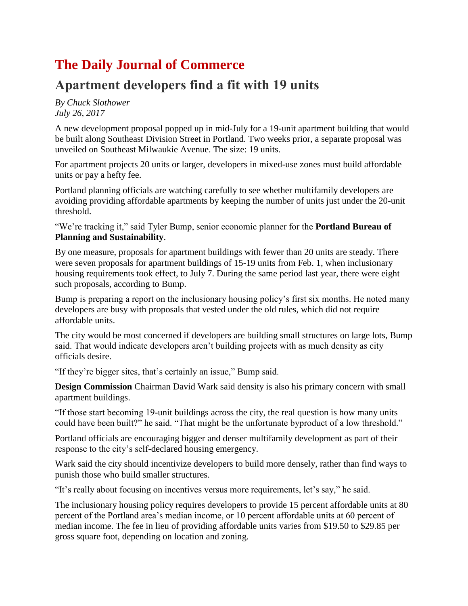# **The Daily Journal of Commerce**

## **Apartment developers find a fit with 19 units**

*By Chuck Slothower July 26, 2017*

A new development proposal popped up in mid-July for a 19-unit apartment building that would be built along Southeast Division Street in Portland. Two weeks prior, a separate proposal was unveiled on Southeast Milwaukie Avenue. The size: 19 units.

For apartment projects 20 units or larger, developers in mixed-use zones must build affordable units or pay a hefty fee.

Portland planning officials are watching carefully to see whether multifamily developers are avoiding providing affordable apartments by keeping the number of units just under the 20-unit threshold.

"We're tracking it," said Tyler Bump, senior economic planner for the **Portland Bureau of Planning and Sustainability**.

By one measure, proposals for apartment buildings with fewer than 20 units are steady. There were seven proposals for apartment buildings of 15-19 units from Feb. 1, when inclusionary housing requirements took effect, to July 7. During the same period last year, there were eight such proposals, according to Bump.

Bump is preparing a report on the inclusionary housing policy's first six months. He noted many developers are busy with proposals that vested under the old rules, which did not require affordable units.

The city would be most concerned if developers are building small structures on large lots, Bump said. That would indicate developers aren't building projects with as much density as city officials desire.

"If they're bigger sites, that's certainly an issue," Bump said.

**Design Commission** Chairman David Wark said density is also his primary concern with small apartment buildings.

"If those start becoming 19-unit buildings across the city, the real question is how many units could have been built?" he said. "That might be the unfortunate byproduct of a low threshold."

Portland officials are encouraging bigger and denser multifamily development as part of their response to the city's self-declared housing emergency.

Wark said the city should incentivize developers to build more densely, rather than find ways to punish those who build smaller structures.

"It's really about focusing on incentives versus more requirements, let's say," he said.

The inclusionary housing policy requires developers to provide 15 percent affordable units at 80 percent of the Portland area's median income, or 10 percent affordable units at 60 percent of median income. The fee in lieu of providing affordable units varies from \$19.50 to \$29.85 per gross square foot, depending on location and zoning.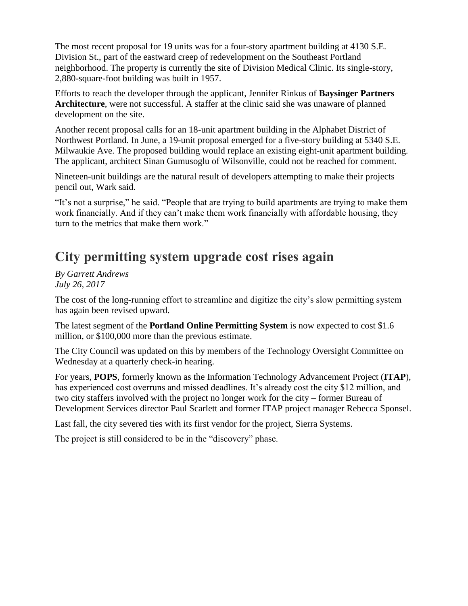The most recent proposal for 19 units was for a four-story apartment building at 4130 S.E. Division St., part of the eastward creep of redevelopment on the Southeast Portland neighborhood. The property is currently the site of Division Medical Clinic. Its single-story, 2,880-square-foot building was built in 1957.

Efforts to reach the developer through the applicant, Jennifer Rinkus of **Baysinger Partners Architecture**, were not successful. A staffer at the clinic said she was unaware of planned development on the site.

Another recent proposal calls for an 18-unit apartment building in the Alphabet District of Northwest Portland. In June, a 19-unit proposal emerged for a five-story building at 5340 S.E. Milwaukie Ave. The proposed building would replace an existing eight-unit apartment building. The applicant, architect Sinan Gumusoglu of Wilsonville, could not be reached for comment.

Nineteen-unit buildings are the natural result of developers attempting to make their projects pencil out, Wark said.

"It's not a surprise," he said. "People that are trying to build apartments are trying to make them work financially. And if they can't make them work financially with affordable housing, they turn to the metrics that make them work."

### **City permitting system upgrade cost rises again**

*By Garrett Andrews July 26, 2017*

The cost of the long-running effort to streamline and digitize the city's slow permitting system has again been revised upward.

The latest segment of the **Portland Online Permitting System** is now expected to cost \$1.6 million, or \$100,000 more than the previous estimate.

The City Council was updated on this by members of the Technology Oversight Committee on Wednesday at a quarterly check-in hearing.

For years, **POPS**, formerly known as the Information Technology [Advancement](http://djcoregon.com/news/2017/01/30/portland-rebrands-effort-to-digitize-permit-system/) Project (**ITAP**), has experienced cost overruns and missed deadlines. It's already cost the city \$12 million, and two city staffers involved with the project no longer work for the city – former Bureau of Development Services director Paul Scarlett and former ITAP project manager Rebecca Sponsel.

Last fall, the city severed ties with its first vendor for the project, Sierra Systems.

The project is still considered to be in the "discovery" phase.